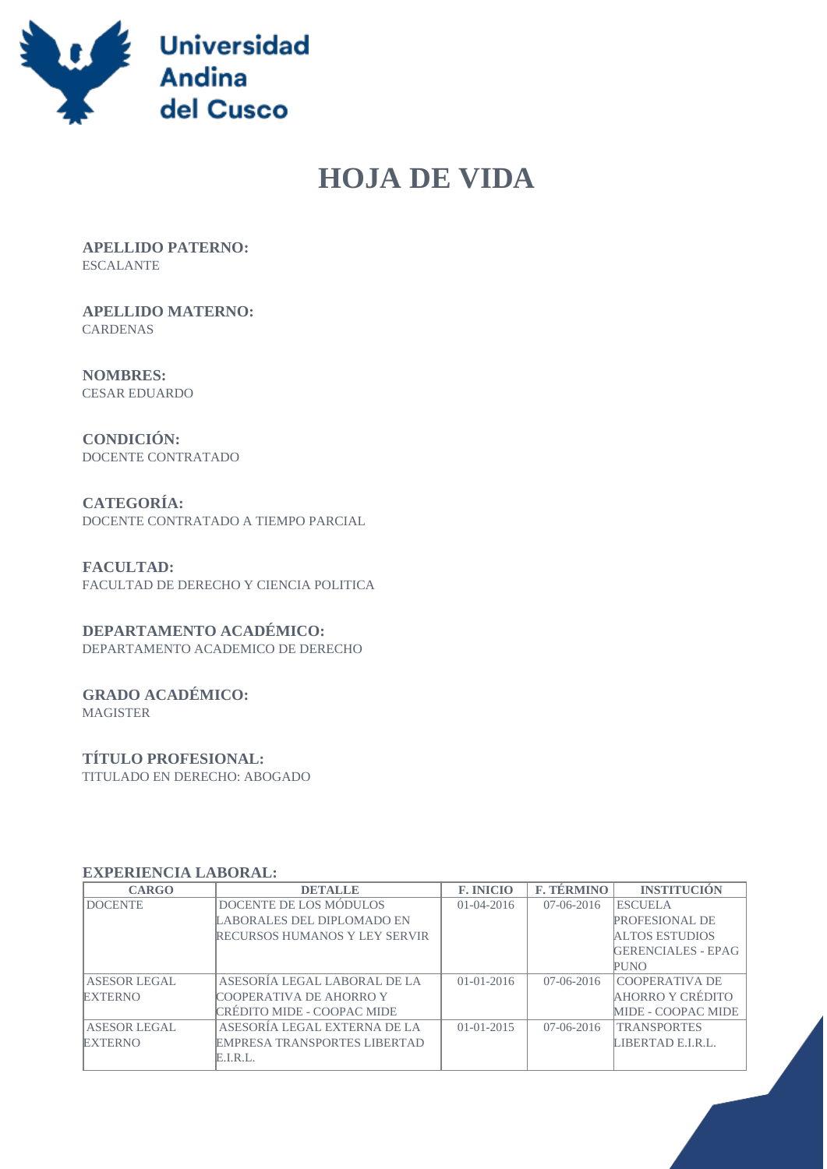

# **HOJA DE VIDA**

 **APELLIDO PATERNO:** ESCALANTE

 **APELLIDO MATERNO:** CARDENAS

 **NOMBRES:** CESAR EDUARDO

 **CONDICIÓN:** DOCENTE CONTRATADO

 **CATEGORÍA:** DOCENTE CONTRATADO A TIEMPO PARCIAL

 **FACULTAD:** FACULTAD DE DERECHO Y CIENCIA POLITICA

### **DEPARTAMENTO ACADÉMICO:**

DEPARTAMENTO ACADEMICO DE DERECHO

## **GRADO ACADÉMICO:**

MAGISTER

#### **TÍTULO PROFESIONAL:**

TITULADO EN DERECHO: ABOGADO

#### **EXPERIENCIA LABORAL:**

| <b>CARGO</b>   | <b>DETALLE</b>                       | <b>F. INICIO</b> | <b>F. TÉRMINO</b> | <b>INSTITUCIÓN</b>        |
|----------------|--------------------------------------|------------------|-------------------|---------------------------|
| <b>DOCENTE</b> | DOCENTE DE LOS MÓDULOS               | $01 - 04 - 2016$ | $07-06-2016$      | <b>ESCUELA</b>            |
|                | LABORALES DEL DIPLOMADO EN           |                  |                   | <b>PROFESIONAL DE</b>     |
|                | <b>RECURSOS HUMANOS Y LEY SERVIR</b> |                  |                   | <b>ALTOS ESTUDIOS</b>     |
|                |                                      |                  |                   | <b>GERENCIALES - EPAG</b> |
|                |                                      |                  |                   | PUNO                      |
| ASESOR LEGAL   | ASESORÍA LEGAL LABORAL DE LA         | $01 - 01 - 2016$ | $07-06-2016$      | <b>COOPERATIVA DE</b>     |
| <b>EXTERNO</b> | COOPERATIVA DE AHORRO Y              |                  |                   | AHORRO Y CRÉDITO          |
|                | CRÉDITO MIDE - COOPAC MIDE           |                  |                   | MIDE - COOPAC MIDE        |
| ASESOR LEGAL   | ASESORÍA LEGAL EXTERNA DE LA         | $01 - 01 - 2015$ | $07-06-2016$      | <b>TRANSPORTES</b>        |
| <b>EXTERNO</b> | <b>EMPRESA TRANSPORTES LIBERTAD</b>  |                  |                   | LIBERTAD E.LR.L.          |
|                | E.I.R.L.                             |                  |                   |                           |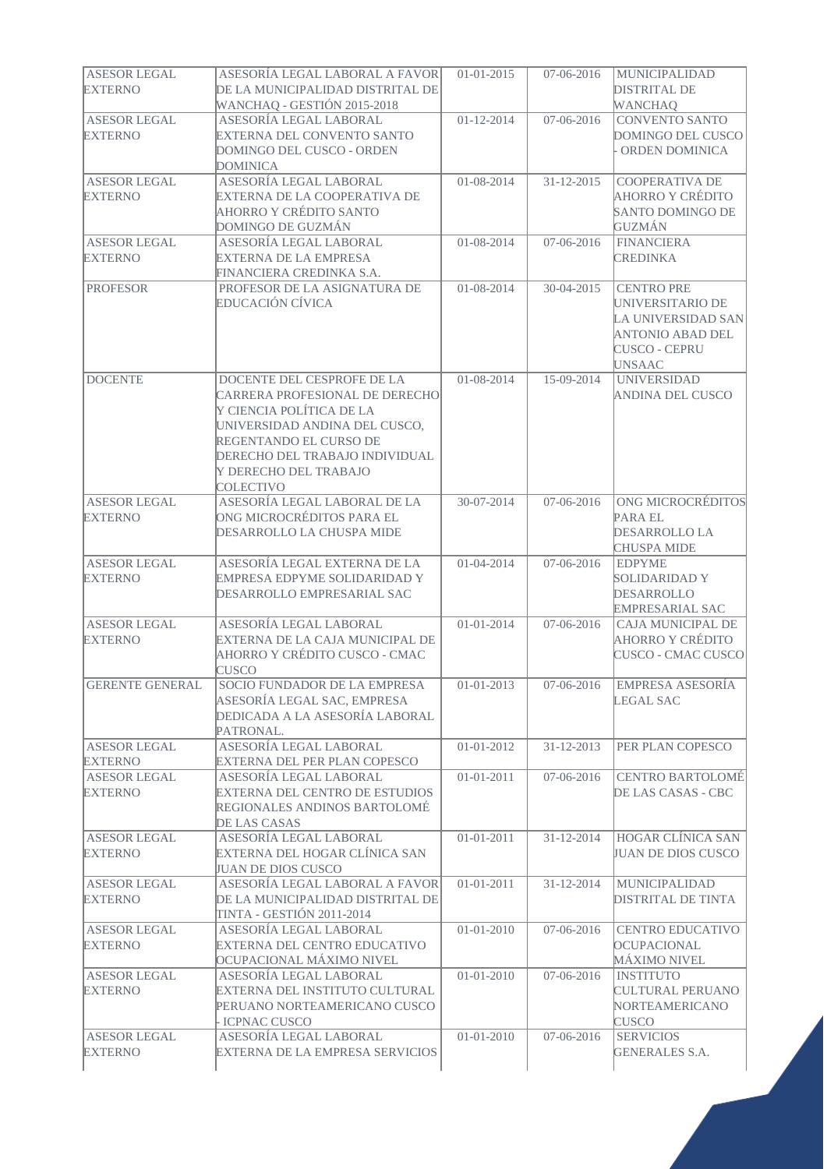| <b>ASESOR LEGAL</b>    | ASESORÍA LEGAL LABORAL A FAVOR                                  | $01 - 01 - 2015$ | 07-06-2016       | <b>MUNICIPALIDAD</b>                  |
|------------------------|-----------------------------------------------------------------|------------------|------------------|---------------------------------------|
| <b>EXTERNO</b>         | DE LA MUNICIPALIDAD DISTRITAL DE<br>WANCHAQ - GESTIÓN 2015-2018 |                  |                  | <b>DISTRITAL DE</b><br><b>WANCHAO</b> |
| <b>ASESOR LEGAL</b>    | ASESORÍA LEGAL LABORAL                                          | $01 - 12 - 2014$ | 07-06-2016       | <b>CONVENTO SANTO</b>                 |
| <b>EXTERNO</b>         | EXTERNA DEL CONVENTO SANTO                                      |                  |                  | DOMINGO DEL CUSCO                     |
|                        | DOMINGO DEL CUSCO - ORDEN                                       |                  |                  | ORDEN DOMINICA                        |
|                        | <b>DOMINICA</b>                                                 |                  |                  |                                       |
| <b>ASESOR LEGAL</b>    | ASESORÍA LEGAL LABORAL                                          | 01-08-2014       | $31 - 12 - 2015$ | COOPERATIVA DE                        |
| <b>EXTERNO</b>         | EXTERNA DE LA COOPERATIVA DE                                    |                  |                  | AHORRO Y CRÉDITO                      |
|                        | AHORRO Y CRÉDITO SANTO                                          |                  |                  | SANTO DOMINGO DE                      |
|                        | <b>DOMINGO DE GUZMÁN</b>                                        |                  |                  | <b>GUZMÁN</b>                         |
| <b>ASESOR LEGAL</b>    | ASESORÍA LEGAL LABORAL                                          | 01-08-2014       | 07-06-2016       | <b>FINANCIERA</b>                     |
| <b>EXTERNO</b>         | <b>EXTERNA DE LA EMPRESA</b>                                    |                  |                  | <b>CREDINKA</b>                       |
|                        | FINANCIERA CREDINKA S.A.                                        |                  |                  |                                       |
| <b>PROFESOR</b>        | PROFESOR DE LA ASIGNATURA DE                                    | 01-08-2014       | 30-04-2015       | <b>CENTRO PRE</b>                     |
|                        | EDUCACIÓN CÍVICA                                                |                  |                  | UNIVERSITARIO DE                      |
|                        |                                                                 |                  |                  | LA UNIVERSIDAD SAN                    |
|                        |                                                                 |                  |                  | <b>ANTONIO ABAD DEL</b>               |
|                        |                                                                 |                  |                  | <b>CUSCO - CEPRU</b>                  |
|                        |                                                                 |                  |                  | <b>UNSAAC</b>                         |
| <b>DOCENTE</b>         | DOCENTE DEL CESPROFE DE LA                                      | 01-08-2014       | 15-09-2014       | <b>UNIVERSIDAD</b>                    |
|                        | CARRERA PROFESIONAL DE DERECHO                                  |                  |                  | <b>ANDINA DEL CUSCO</b>               |
|                        | Y CIENCIA POLÍTICA DE LA                                        |                  |                  |                                       |
|                        | UNIVERSIDAD ANDINA DEL CUSCO,                                   |                  |                  |                                       |
|                        | REGENTANDO EL CURSO DE                                          |                  |                  |                                       |
|                        | DERECHO DEL TRABAJO INDIVIDUAL                                  |                  |                  |                                       |
|                        | Y DERECHO DEL TRABAJO                                           |                  |                  |                                       |
|                        |                                                                 |                  |                  |                                       |
| <b>ASESOR LEGAL</b>    | <b>COLECTIVO</b><br>ASESORÍA LEGAL LABORAL DE LA                | 30-07-2014       | 07-06-2016       | ONG MICROCRÉDITOS                     |
| <b>EXTERNO</b>         | ONG MICROCRÉDITOS PARA EL                                       |                  |                  | <b>PARA EL</b>                        |
|                        |                                                                 |                  |                  |                                       |
|                        | DESARROLLO LA CHUSPA MIDE                                       |                  |                  | <b>DESARROLLO LA</b>                  |
| <b>ASESOR LEGAL</b>    | ASESORÍA LEGAL EXTERNA DE LA                                    | $01-04-2014$     | 07-06-2016       | <b>CHUSPA MIDE</b><br><b>EDPYME</b>   |
| <b>EXTERNO</b>         | EMPRESA EDPYME SOLIDARIDAD Y                                    |                  |                  | <b>SOLIDARIDAD Y</b>                  |
|                        | DESARROLLO EMPRESARIAL SAC                                      |                  |                  | DESARROLLO                            |
|                        |                                                                 |                  |                  | <b>EMPRESARIAL SAC</b>                |
| <b>ASESOR LEGAL</b>    | ASESORÍA LEGAL LABORAL                                          | $01 - 01 - 2014$ | 07-06-2016       | <b>CAJA MUNICIPAL DE</b>              |
| <b>EXTERNO</b>         | EXTERNA DE LA CAJA MUNICIPAL DE                                 |                  |                  | AHORRO Y CRÉDITO                      |
|                        | AHORRO Y CRÉDITO CUSCO - CMAC                                   |                  |                  | CUSCO - CMAC CUSCO                    |
|                        | <b>CUSCO</b>                                                    |                  |                  |                                       |
| <b>GERENTE GENERAL</b> | SOCIO FUNDADOR DE LA EMPRESA                                    | $01 - 01 - 2013$ | 07-06-2016       | <b>EMPRESA ASESORÍA</b>               |
|                        | ASESORÍA LEGAL SAC, EMPRESA                                     |                  |                  | <b>LEGAL SAC</b>                      |
|                        | DEDICADA A LA ASESORÍA LABORAL                                  |                  |                  |                                       |
|                        | PATRONAL.                                                       |                  |                  |                                       |
| <b>ASESOR LEGAL</b>    | ASESORÍA LEGAL LABORAL                                          | $01 - 01 - 2012$ | $31 - 12 - 2013$ | PER PLAN COPESCO                      |
| <b>EXTERNO</b>         | EXTERNA DEL PER PLAN COPESCO                                    |                  |                  |                                       |
| <b>ASESOR LEGAL</b>    | ASESORÍA LEGAL LABORAL                                          | $01 - 01 - 2011$ | 07-06-2016       | <b>CENTRO BARTOLOMÉ</b>               |
| <b>EXTERNO</b>         | <b>EXTERNA DEL CENTRO DE ESTUDIOS</b>                           |                  |                  | DE LAS CASAS - CBC                    |
|                        | REGIONALES ANDINOS BARTOLOMÉ                                    |                  |                  |                                       |
|                        | DE LAS CASAS                                                    |                  |                  |                                       |
| <b>ASESOR LEGAL</b>    | ASESORÍA LEGAL LABORAL                                          | $01 - 01 - 2011$ | 31-12-2014       | <b>HOGAR CLÍNICA SAN</b>              |
| <b>EXTERNO</b>         | EXTERNA DEL HOGAR CLÍNICA SAN                                   |                  |                  | <b>JUAN DE DIOS CUSCO</b>             |
|                        | JUAN DE DIOS CUSCO                                              |                  |                  |                                       |
| <b>ASESOR LEGAL</b>    | ASESORÍA LEGAL LABORAL A FAVOR                                  | $01 - 01 - 2011$ | 31-12-2014       | <b>MUNICIPALIDAD</b>                  |
| <b>EXTERNO</b>         | DE LA MUNICIPALIDAD DISTRITAL DE                                |                  |                  | <b>DISTRITAL DE TINTA</b>             |
|                        | TINTA - GESTIÓN 2011-2014                                       |                  |                  |                                       |
| <b>ASESOR LEGAL</b>    | ASESORÍA LEGAL LABORAL                                          | $01 - 01 - 2010$ | 07-06-2016       | <b>CENTRO EDUCATIVO</b>               |
| <b>EXTERNO</b>         | EXTERNA DEL CENTRO EDUCATIVO                                    |                  |                  | <b>OCUPACIONAL</b>                    |
|                        |                                                                 |                  |                  |                                       |
|                        | OCUPACIONAL MÁXIMO NIVEL                                        |                  |                  | MÁXIMO NIVEL<br><b>INSTITUTO</b>      |
| <b>ASESOR LEGAL</b>    | ASESORÍA LEGAL LABORAL                                          | $01 - 01 - 2010$ | 07-06-2016       |                                       |
| <b>EXTERNO</b>         | EXTERNA DEL INSTITUTO CULTURAL                                  |                  |                  | <b>CULTURAL PERUANO</b>               |
|                        | PERUANO NORTEAMERICANO CUSCO                                    |                  |                  | NORTEAMERICANO                        |
|                        | <b>ICPNAC CUSCO</b>                                             |                  |                  | <b>CUSCO</b>                          |
| <b>ASESOR LEGAL</b>    | ASESORÍA LEGAL LABORAL                                          | $01 - 01 - 2010$ | 07-06-2016       | <b>SERVICIOS</b>                      |
| <b>EXTERNO</b>         | EXTERNA DE LA EMPRESA SERVICIOS                                 |                  |                  | <b>GENERALES S.A.</b>                 |